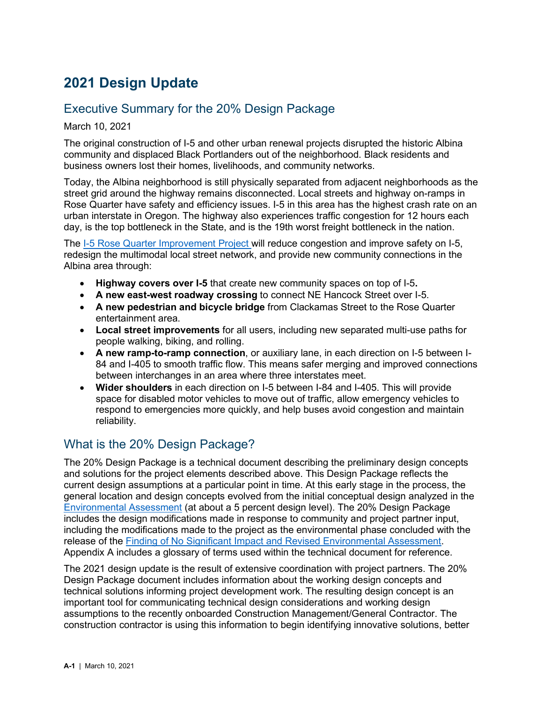# **2021 Design Update**

## Executive Summary for the 20% Design Package

March 10, 2021

The original construction of I-5 and other urban renewal projects disrupted the historic Albina community and displaced Black Portlanders out of the neighborhood. Black residents and business owners lost their homes, livelihoods, and community networks.

Today, the Albina neighborhood is still physically separated from adjacent neighborhoods as the street grid around the highway remains disconnected. Local streets and highway on-ramps in Rose Quarter have safety and efficiency issues. I-5 in this area has the highest crash rate on an urban interstate in Oregon. The highway also experiences traffic congestion for 12 hours each day, is the top bottleneck in the State, and is the 19th worst freight bottleneck in the nation.

The [I-5 Rose Quarter Improvement Project](https://www.i5rosequarter.org/frequently-asked-questions/) will reduce congestion and improve safety on I-5, redesign the multimodal local street network, and provide new community connections in the Albina area through:

- **Highway covers over I-5** that create new community spaces on top of I-5**.**
- **A new east-west roadway crossing** to connect NE Hancock Street over I-5.
- **A new pedestrian and bicycle bridge** from Clackamas Street to the Rose Quarter entertainment area.
- **Local street improvements** for all users, including new separated multi-use paths for people walking, biking, and rolling.
- **A new ramp-to-ramp connection**, or auxiliary lane, in each direction on I-5 between I-84 and I-405 to smooth traffic flow. This means safer merging and improved connections between interchanges in an area where three interstates meet.
- **Wider shoulders** in each direction on I-5 between I-84 and I-405. This will provide space for disabled motor vehicles to move out of traffic, allow emergency vehicles to respond to emergencies more quickly, and help buses avoid congestion and maintain reliability.

## What is the 20% Design Package?

The 20% Design Package is a technical document describing the preliminary design concepts and solutions for the project elements described above. This Design Package reflects the current design assumptions at a particular point in time. At this early stage in the process, the general location and design concepts evolved from the initial conceptual design analyzed in the [Environmental Assessment](https://www.i5rosequarter.org/wp-content/uploads/2019/03/508_20190225_I5RQ_Draft-EA_SCREEN_508_RELINK_TAGGED.pdf) (at about a 5 percent design level). The 20% Design Package includes the design modifications made in response to community and project partner input, including the modifications made to the project as the environmental phase concluded with the release of the [Finding of No Significant Impact and Revised Environmental Assessment.](https://www.i5rosequarter.org/wp-content/uploads/2020/11/COMPLETE_I5RQ-Final-Decision-Document_10.30.20.pdf) Appendix A includes a glossary of terms used within the technical document for reference.

The 2021 design update is the result of extensive coordination with project partners. The 20% Design Package document includes information about the working design concepts and technical solutions informing project development work. The resulting design concept is an important tool for communicating technical design considerations and working design assumptions to the recently onboarded Construction Management/General Contractor. The construction contractor is using this information to begin identifying innovative solutions, better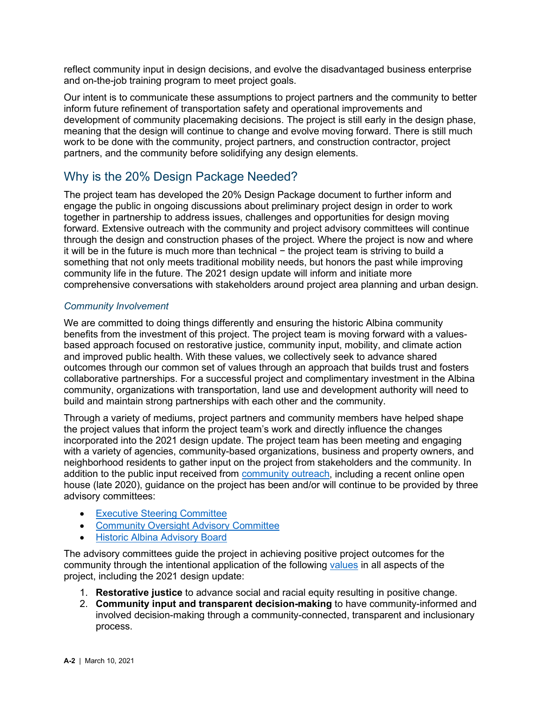reflect community input in design decisions, and evolve the disadvantaged business enterprise and on-the-job training program to meet project goals.

Our intent is to communicate these assumptions to project partners and the community to better inform future refinement of transportation safety and operational improvements and development of community placemaking decisions. The project is still early in the design phase, meaning that the design will continue to change and evolve moving forward. There is still much work to be done with the community, project partners, and construction contractor, project partners, and the community before solidifying any design elements.

## Why is the 20% Design Package Needed?

The project team has developed the 20% Design Package document to further inform and engage the public in ongoing discussions about preliminary project design in order to work together in partnership to address issues, challenges and opportunities for design moving forward. Extensive outreach with the community and project advisory committees will continue through the design and construction phases of the project. Where the project is now and where it will be in the future is much more than technical − the project team is striving to build a something that not only meets traditional mobility needs, but honors the past while improving community life in the future. The 2021 design update will inform and initiate more comprehensive conversations with stakeholders around project area planning and urban design.

### *Community Involvement*

We are committed to doing things differently and ensuring the historic Albina community benefits from the investment of this project. The project team is moving forward with a valuesbased approach focused on restorative justice, community input, mobility, and climate action and improved public health. With these values, we collectively seek to advance shared outcomes through our common set of values through an approach that builds trust and fosters collaborative partnerships. For a successful project and complimentary investment in the Albina community, organizations with transportation, land use and development authority will need to build and maintain strong partnerships with each other and the community.

Through a variety of mediums, project partners and community members have helped shape the project values that inform the project team's work and directly influence the changes incorporated into the 2021 design update. The project team has been meeting and engaging with a variety of agencies, community-based organizations, business and property owners, and neighborhood residents to gather input on the project from stakeholders and the community. In addition to the public input received from [community outreach,](https://www.i5rosequarter.org/get-involved/past-engagement/) including a recent online open house (late 2020), guidance on the project has been and/or will continue to be provided by three advisory committees:

- [Executive Steering Committee](https://www.i5rosequarter.org/get-involved/executive-steering-committee-esc/)
- [Community Oversight Advisory Committee](https://www.i5rosequarter.org/community-oversight-advisory-committee-coac/)
- [Historic Albina Advisory Board](https://www.i5rosequarter.org/get-involved/historic-albina-advisory-board-haab/)

The advisory committees guide the project in achieving positive project outcomes for the community through the intentional application of the following [values](https://www.i5rosequarter.org/wp-content/uploads/2020/10/FINAL_I5RQ-Values-Document_102620.pdf.) in all aspects of the project, including the 2021 design update:

- 1. **Restorative justice** to advance social and racial equity resulting in positive change.
- 2. **Community input and transparent decision-making** to have community-informed and involved decision-making through a community-connected, transparent and inclusionary process.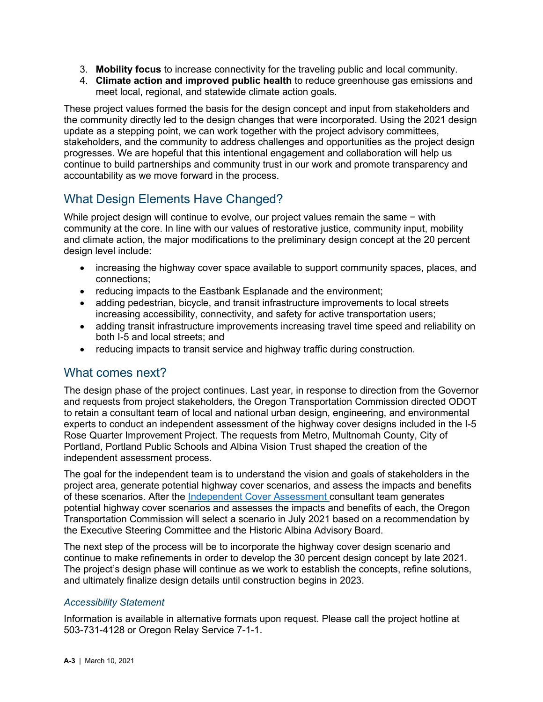- 3. **Mobility focus** to increase connectivity for the traveling public and local community.
- 4. **Climate action and improved public health** to reduce greenhouse gas emissions and meet local, regional, and statewide climate action goals.

These project values formed the basis for the design concept and input from stakeholders and the community directly led to the design changes that were incorporated. Using the 2021 design update as a stepping point, we can work together with the project advisory committees, stakeholders, and the community to address challenges and opportunities as the project design progresses. We are hopeful that this intentional engagement and collaboration will help us continue to build partnerships and community trust in our work and promote transparency and accountability as we move forward in the process.

# What Design Elements Have Changed?

While project design will continue to evolve, our project values remain the same − with community at the core. In line with our values of restorative justice, community input, mobility and climate action, the major modifications to the preliminary design concept at the 20 percent design level include:

- increasing the highway cover space available to support community spaces, places, and connections;
- reducing impacts to the Eastbank Esplanade and the environment;
- adding pedestrian, bicycle, and transit infrastructure improvements to local streets increasing accessibility, connectivity, and safety for active transportation users;
- adding transit infrastructure improvements increasing travel time speed and reliability on both I-5 and local streets; and
- reducing impacts to transit service and highway traffic during construction.

## What comes next?

The design phase of the project continues. Last year, in response to direction from the Governor and requests from project stakeholders, the Oregon Transportation Commission directed ODOT to retain a consultant team of local and national urban design, engineering, and environmental experts to conduct an independent assessment of the highway cover designs included in the I-5 Rose Quarter Improvement Project. The requests from Metro, Multnomah County, City of Portland, Portland Public Schools and Albina Vision Trust shaped the creation of the independent assessment process.

The goal for the independent team is to understand the vision and goals of stakeholders in the project area, generate potential highway cover scenarios, and assess the impacts and benefits of these scenarios. After the [Independent Cover Assessment](https://www.i5rosequarter.org/wp-content/uploads/2021/03/RQ_ICA-Highway-Cover-Engagement-Factsheet_322021.pdf) consultant team generates potential highway cover scenarios and assesses the impacts and benefits of each, the Oregon Transportation Commission will select a scenario in July 2021 based on a recommendation by the Executive Steering Committee and the Historic Albina Advisory Board.

The next step of the process will be to incorporate the highway cover design scenario and continue to make refinements in order to develop the 30 percent design concept by late 2021. The project's design phase will continue as we work to establish the concepts, refine solutions, and ultimately finalize design details until construction begins in 2023.

## *Accessibility Statement*

Information is available in alternative formats upon request. Please call the project hotline at 503-731-4128 or Oregon Relay Service 7-1-1.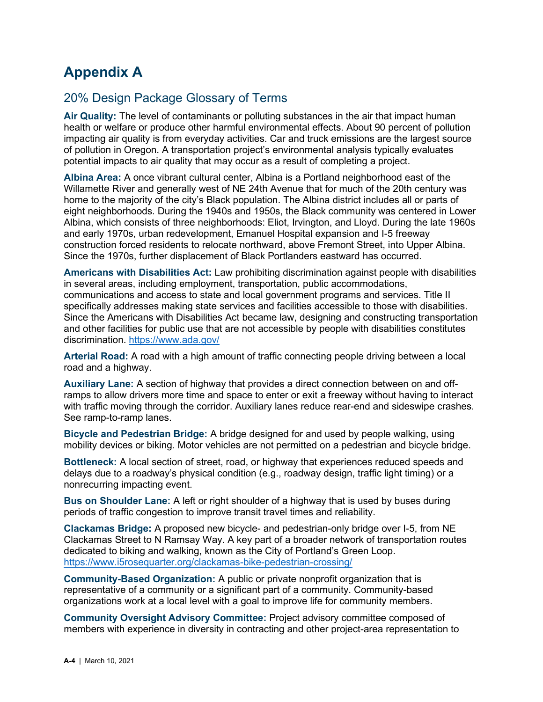# **Appendix A**

# 20% Design Package Glossary of Terms

**Air Quality:** The level of contaminants or polluting substances in the air that impact human health or welfare or produce other harmful environmental effects. About 90 percent of pollution impacting air quality is from everyday activities. Car and truck emissions are the largest source of pollution in Oregon. A transportation project's environmental analysis typically evaluates potential impacts to air quality that may occur as a result of completing a project.

**Albina Area:** A once vibrant cultural center, Albina is a Portland neighborhood east of the Willamette River and generally west of NE 24th Avenue that for much of the 20th century was home to the majority of the city's Black population. The Albina district includes all or parts of eight neighborhoods. During the 1940s and 1950s, the Black community was centered in Lower Albina, which consists of three neighborhoods: Eliot, Irvington, and Lloyd. During the late 1960s and early 1970s, urban redevelopment, Emanuel Hospital expansion and I-5 freeway construction forced residents to relocate northward, above Fremont Street, into Upper Albina. Since the 1970s, further displacement of Black Portlanders eastward has occurred.

**Americans with Disabilities Act:** Law prohibiting discrimination against people with disabilities in several areas, including employment, transportation, public accommodations, communications and access to state and local government programs and services. Title II specifically addresses making state services and facilities accessible to those with disabilities. Since the Americans with Disabilities Act became law, designing and constructing transportation and other facilities for public use that are not accessible by people with disabilities constitutes discrimination.<https://www.ada.gov/>

**Arterial Road:** A road with a high amount of traffic connecting people driving between a local road and a highway.

**Auxiliary Lane:** A section of highway that provides a direct connection between on and offramps to allow drivers more time and space to enter or exit a freeway without having to interact with traffic moving through the corridor. Auxiliary lanes reduce rear-end and sideswipe crashes. See ramp-to-ramp lanes.

**Bicycle and Pedestrian Bridge:** A bridge designed for and used by people walking, using mobility devices or biking. Motor vehicles are not permitted on a pedestrian and bicycle bridge.

**Bottleneck:** A local section of street, road, or highway that experiences reduced speeds and delays due to a roadway's physical condition (e.g., roadway design, traffic light timing) or a nonrecurring impacting event.

**Bus on Shoulder Lane:** A left or right shoulder of a highway that is used by buses during periods of traffic congestion to improve transit travel times and reliability.

**Clackamas Bridge:** A proposed new bicycle- and pedestrian-only bridge over I-5, from NE Clackamas Street to N Ramsay Way. A key part of a broader network of transportation routes dedicated to biking and walking, known as the City of Portland's Green Loop. <https://www.i5rosequarter.org/clackamas-bike-pedestrian-crossing/>

**Community-Based Organization:** A public or private nonprofit organization that is representative of a community or a significant part of a community. Community-based organizations work at a local level with a goal to improve life for community members.

**Community Oversight Advisory Committee:** Project advisory committee composed of members with experience in diversity in contracting and other project-area representation to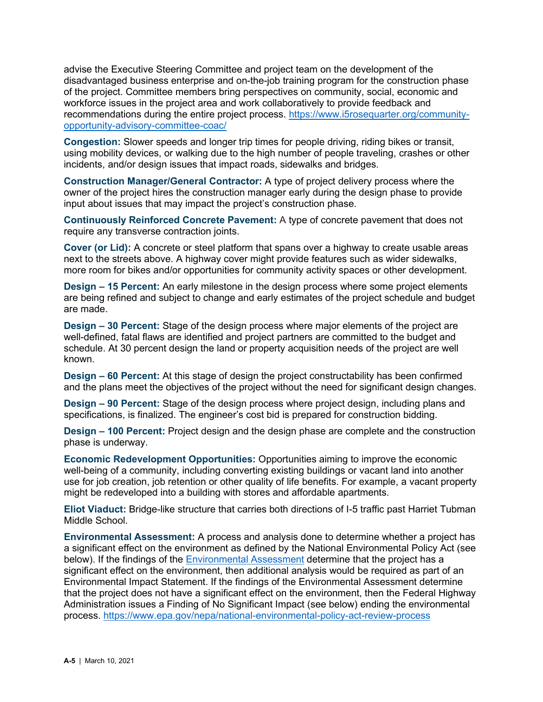advise the Executive Steering Committee and project team on the development of the disadvantaged business enterprise and on-the-job training program for the construction phase of the project. Committee members bring perspectives on community, social, economic and workforce issues in the project area and work collaboratively to provide feedback and recommendations during the entire project process. [https://www.i5rosequarter.org/community](https://www.i5rosequarter.org/community-opportunity-advisory-committee-coac/)[opportunity-advisory-committee-coac/](https://www.i5rosequarter.org/community-opportunity-advisory-committee-coac/)

**Congestion:** Slower speeds and longer trip times for people driving, riding bikes or transit, using mobility devices, or walking due to the high number of people traveling, crashes or other incidents, and/or design issues that impact roads, sidewalks and bridges.

**Construction Manager/General Contractor:** A type of project delivery process where the owner of the project hires the construction manager early during the design phase to provide input about issues that may impact the project's construction phase.

**Continuously Reinforced Concrete Pavement:** A type of concrete pavement that does not require any transverse contraction joints.

**Cover (or Lid):** A concrete or steel platform that spans over a highway to create usable areas next to the streets above. A highway cover might provide features such as wider sidewalks, more room for bikes and/or opportunities for community activity spaces or other development.

**Design – 15 Percent:** An early milestone in the design process where some project elements are being refined and subject to change and early estimates of the project schedule and budget are made.

**Design – 30 Percent:** Stage of the design process where major elements of the project are well-defined, fatal flaws are identified and project partners are committed to the budget and schedule. At 30 percent design the land or property acquisition needs of the project are well known.

**Design – 60 Percent:** At this stage of design the project constructability has been confirmed and the plans meet the objectives of the project without the need for significant design changes.

**Design – 90 Percent:** Stage of the design process where project design, including plans and specifications, is finalized. The engineer's cost bid is prepared for construction bidding.

**Design – 100 Percent:** Project design and the design phase are complete and the construction phase is underway.

**Economic Redevelopment Opportunities:** Opportunities aiming to improve the economic well-being of a community, including converting existing buildings or vacant land into another use for job creation, job retention or other quality of life benefits. For example, a vacant property might be redeveloped into a building with stores and affordable apartments.

**Eliot Viaduct:** Bridge-like structure that carries both directions of I-5 traffic past Harriet Tubman Middle School.

**Environmental Assessment:** A process and analysis done to determine whether a project has a significant effect on the environment as defined by the National Environmental Policy Act (see below). If the findings of the [Environmental Assessment](https://www.i5rosequarter.org/wp-content/uploads/2019/03/508_20190225_I5RQ_Draft-EA_SCREEN_508_RELINK_TAGGED.pdf) determine that the project has a significant effect on the environment, then additional analysis would be required as part of an Environmental Impact Statement. If the findings of the Environmental Assessment determine that the project does not have a significant effect on the environment, then the Federal Highway Administration issues a Finding of No Significant Impact (see below) ending the environmental process. <https://www.epa.gov/nepa/national-environmental-policy-act-review-process>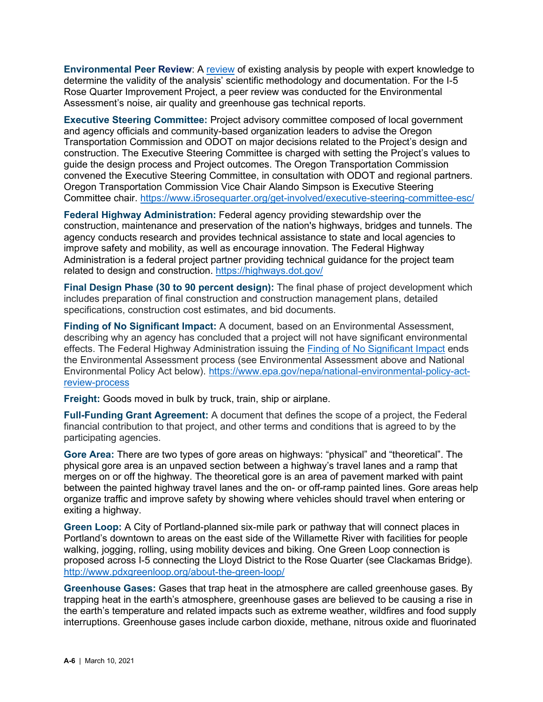**Environmental Peer Review**: A [review](https://www.i5rosequarter.org/wp-content/uploads/2020/06/I5RQ_EnvPeerReviewReport_FINAL_2020-05-31-1.pdf) of existing analysis by people with expert knowledge to determine the validity of the analysis' scientific methodology and documentation. For the I-5 Rose Quarter Improvement Project, a peer review was conducted for the Environmental Assessment's noise, air quality and greenhouse gas technical reports.

**Executive Steering Committee:** Project advisory committee composed of local government and agency officials and community-based organization leaders to advise the Oregon Transportation Commission and ODOT on major decisions related to the Project's design and construction. The Executive Steering Committee is charged with setting the Project's values to guide the design process and Project outcomes. The Oregon Transportation Commission convened the Executive Steering Committee, in consultation with ODOT and regional partners. Oregon Transportation Commission Vice Chair Alando Simpson is Executive Steering Committee chair.<https://www.i5rosequarter.org/get-involved/executive-steering-committee-esc/>

**Federal Highway Administration:** Federal agency providing stewardship over the construction, maintenance and preservation of the nation's highways, bridges and tunnels. The agency conducts research and provides technical assistance to state and local agencies to improve safety and mobility, as well as encourage innovation. The Federal Highway Administration is a federal project partner providing technical guidance for the project team related to design and construction.<https://highways.dot.gov/>

**Final Design Phase (30 to 90 percent design):** The final phase of project development which includes preparation of final construction and construction management plans, detailed specifications, construction cost estimates, and bid documents.

**Finding of No Significant Impact:** A document, based on an Environmental Assessment, describing why an agency has concluded that a project will not have significant environmental effects. The Federal Highway Administration issuing the [Finding of No Significant Impact](https://www.i5rosequarter.org/wp-content/uploads/2020/11/COMPLETE_I5RQ-Final-Decision-Document_10.30.20.pdf) ends the Environmental Assessment process (see Environmental Assessment above and National Environmental Policy Act below). [https://www.epa.gov/nepa/national-environmental-policy-act](https://www.epa.gov/nepa/national-environmental-policy-act-review-process)[review-process](https://www.epa.gov/nepa/national-environmental-policy-act-review-process)

**Freight:** Goods moved in bulk by truck, train, ship or airplane.

**Full-Funding Grant Agreement:** A document that defines the scope of a project, the Federal financial contribution to that project, and other terms and conditions that is agreed to by the participating agencies.

**Gore Area:** There are two types of gore areas on highways: "physical" and "theoretical". The physical gore area is an unpaved section between a highway's travel lanes and a ramp that merges on or off the highway. The theoretical gore is an area of pavement marked with paint between the painted highway travel lanes and the on- or off-ramp painted lines. Gore areas help organize traffic and improve safety by showing where vehicles should travel when entering or exiting a highway.

**Green Loop:** A City of Portland-planned six-mile park or pathway that will connect places in Portland's downtown to areas on the east side of the Willamette River with facilities for people walking, jogging, rolling, using mobility devices and biking. One Green Loop connection is proposed across I-5 connecting the Lloyd District to the Rose Quarter (see Clackamas Bridge). <http://www.pdxgreenloop.org/about-the-green-loop/>

**Greenhouse Gases:** Gases that trap heat in the atmosphere are called greenhouse gases. By trapping heat in the earth's atmosphere, greenhouse gases are believed to be causing a rise in the earth's temperature and related impacts such as extreme weather, wildfires and food supply interruptions. Greenhouse gases include carbon dioxide, methane, nitrous oxide and fluorinated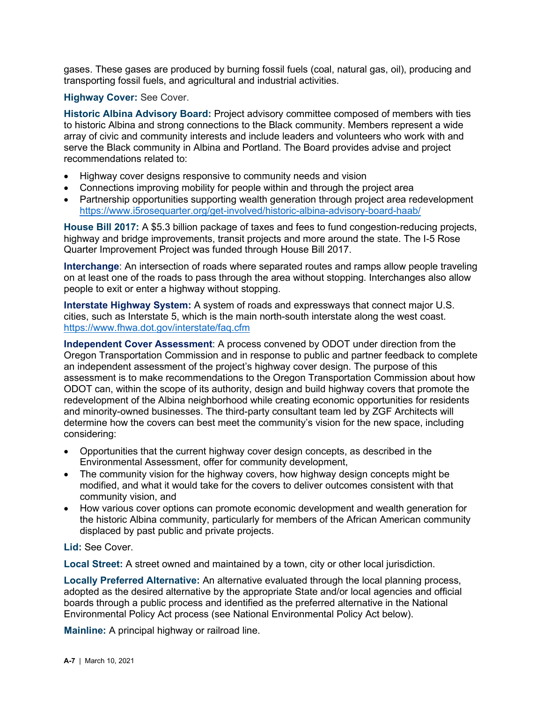gases. These gases are produced by burning fossil fuels (coal, natural gas, oil), producing and transporting fossil fuels, and agricultural and industrial activities.

#### **Highway Cover:** See Cover.

**Historic Albina Advisory Board:** Project advisory committee composed of members with ties to historic Albina and strong connections to the Black community. Members represent a wide array of civic and community interests and include leaders and volunteers who work with and serve the Black community in Albina and Portland. The Board provides advise and project recommendations related to:

- Highway cover designs responsive to community needs and vision
- Connections improving mobility for people within and through the project area
- Partnership opportunities supporting wealth generation through project area redevelopment <https://www.i5rosequarter.org/get-involved/historic-albina-advisory-board-haab/>

**House Bill 2017:** A \$5.3 billion package of taxes and fees to fund congestion-reducing projects, highway and bridge improvements, transit projects and more around the state. The I-5 Rose Quarter Improvement Project was funded through House Bill 2017.

**Interchange**: An intersection of roads where separated routes and ramps allow people traveling on at least one of the roads to pass through the area without stopping. Interchanges also allow people to exit or enter a highway without stopping.

**Interstate Highway System:** A system of roads and expressways that connect major U.S. cities, such as Interstate 5, which is the main north-south interstate along the west coast. <https://www.fhwa.dot.gov/interstate/faq.cfm>

**Independent Cover Assessment**: A process convened by ODOT under direction from the Oregon Transportation Commission and in response to public and partner feedback to complete an independent assessment of the project's highway cover design. The purpose of this assessment is to make recommendations to the Oregon Transportation Commission about how ODOT can, within the scope of its authority, design and build highway covers that promote the redevelopment of the Albina neighborhood while creating economic opportunities for residents and minority-owned businesses. The third-party consultant team led by ZGF Architects will determine how the covers can best meet the community's vision for the new space, including considering:

- Opportunities that the current highway cover design concepts, as described in the Environmental Assessment, offer for community development,
- The community vision for the highway covers, how highway design concepts might be modified, and what it would take for the covers to deliver outcomes consistent with that community vision, and
- How various cover options can promote economic development and wealth generation for the historic Albina community, particularly for members of the African American community displaced by past public and private projects.

### **Lid:** See Cover.

**Local Street:** A street owned and maintained by a town, city or other local jurisdiction.

**Locally Preferred Alternative:** An alternative evaluated through the local planning process, adopted as the desired alternative by the appropriate [State](https://www.law.cornell.edu/definitions/index.php?width=840&height=800&iframe=true&def_id=3fe7f668aa84faee0a27dce7df4f7ad7&term_occur=999&term_src=Title:49:Subtitle:B:Chapter:VI:Part:611:Subpart:A:611.105) and/or local agencies and official boards through a public process and identified as the preferred alternative in the National Environmental Policy Act process (see National Environmental Policy Act below).

**Mainline:** A principal highway or railroad line.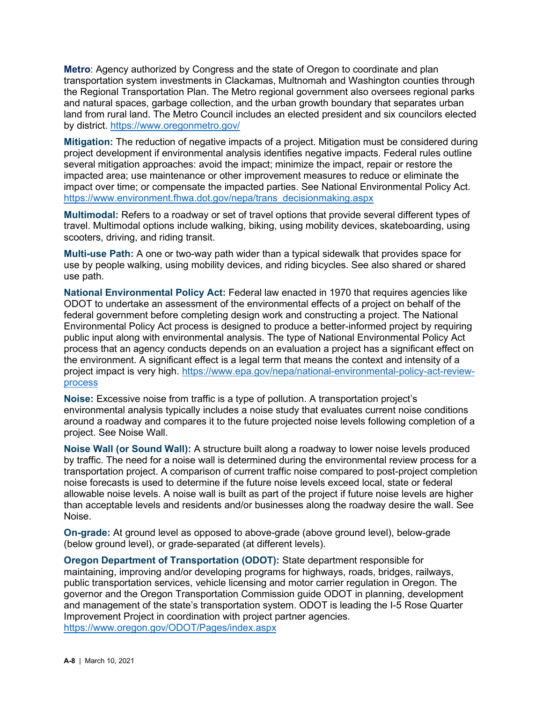**Metro**: Agency authorized by Congress and the state of Oregon to coordinate and plan transportation system investments in Clackamas, Multnomah and Washington counties through the Regional Transportation Plan. The Metro regional government also oversees regional parks and natural spaces, garbage collection, and the urban growth boundary that separates urban land from rural land. The Metro Council includes an elected president and six councilors elected by district.<https://www.oregonmetro.gov/>

**Mitigation:** The reduction of negative impacts of a project. Mitigation must be considered during project development if environmental analysis identifies negative impacts. Federal rules outline several mitigation approaches: avoid the impact; minimize the impact, repair or restore the impacted area; use maintenance or other improvement measures to reduce or eliminate the impact over time; or compensate the impacted parties. See National Environmental Policy Act. [https://www.environment.fhwa.dot.gov/nepa/trans\\_decisionmaking.aspx](https://www.environment.fhwa.dot.gov/nepa/trans_decisionmaking.aspx)

**Multimodal:** Refers to a roadway or set of travel options that provide several different types of travel. Multimodal options include walking, biking, using mobility devices, skateboarding, using scooters, driving, and riding transit.

**Multi-use Path:** A one or two-way path wider than a typical sidewalk that provides space for use by people walking, using mobility devices, and riding bicycles. See also shared or shared use path.

**National Environmental Policy Act:** Federal law enacted in 1970 that requires agencies like ODOT to undertake an assessment of the environmental effects of a project on behalf of the federal government before completing design work and constructing a project. The National Environmental Policy Act process is designed to produce a better-informed project by requiring public input along with environmental analysis. The type of National Environmental Policy Act process that an agency conducts depends on an evaluation a project has a significant effect on the environment. A significant effect is a legal term that means the context and intensity of a project impact is very high. [https://www.epa.gov/nepa/national-environmental-policy-act-review](https://www.epa.gov/nepa/national-environmental-policy-act-review-process)[process](https://www.epa.gov/nepa/national-environmental-policy-act-review-process)

**Noise:** Excessive noise from traffic is a type of pollution. A transportation project's environmental analysis typically includes a noise study that evaluates current noise conditions around a roadway and compares it to the future projected noise levels following completion of a project. See Noise Wall.

**Noise Wall (or Sound Wall):** A structure built along a roadway to lower noise levels produced by traffic. The need for a noise wall is determined during the environmental review process for a transportation project. A comparison of current traffic noise compared to post-project completion noise forecasts is used to determine if the future noise levels exceed local, state or federal allowable noise levels. A noise wall is built as part of the project if future noise levels are higher than acceptable levels and residents and/or businesses along the roadway desire the wall. See Noise.

**On-grade:** At ground level as opposed to above-grade (above ground level), below-grade (below ground level), or grade-separated (at different levels).

**Oregon Department of Transportation (ODOT):** State department responsible for maintaining, improving and/or developing programs for highways, roads, bridges, railways, public transportation services, vehicle licensing and motor carrier regulation in Oregon. The governor and the Oregon Transportation Commission guide ODOT in planning, development and management of the state's transportation system. ODOT is leading the I-5 Rose Quarter Improvement Project in coordination with project partner agencies. <https://www.oregon.gov/ODOT/Pages/index.aspx>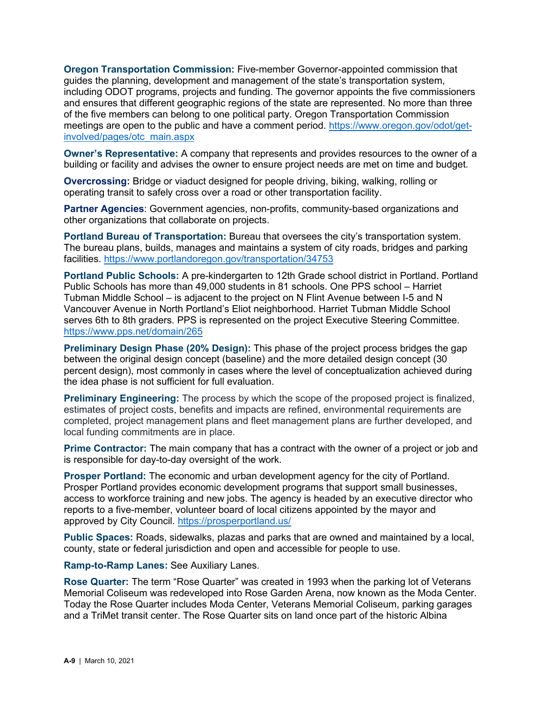**Oregon Transportation Commission:** Five-member Governor-appointed commission that guides the planning, development and management of the state's transportation system, including ODOT programs, projects and funding. The governor appoints the five commissioners and ensures that different geographic regions of the state are represented. No more than three of the five members can belong to one political party. Oregon Transportation Commission meetings are open to the public and have a comment period. [https://www.oregon.gov/odot/get](https://www.oregon.gov/odot/get-involved/pages/otc_main.aspx)[involved/pages/otc\\_main.aspx](https://www.oregon.gov/odot/get-involved/pages/otc_main.aspx)

**Owner's Representative:** A company that represents and provides resources to the owner of a building or facility and advises the owner to ensure project needs are met on time and budget.

**Overcrossing:** Bridge or viaduct designed for people driving, biking, walking, rolling or operating transit to safely cross over a road or other transportation facility.

**Partner Agencies**: Government agencies, non-profits, community-based organizations and other organizations that collaborate on projects.

**Portland Bureau of Transportation:** Bureau that oversees the city's transportation system. The bureau plans, builds, manages and maintains a system of city roads, bridges and parking facilities.<https://www.portlandoregon.gov/transportation/34753>

**Portland Public Schools:** A pre-kindergarten to 12th Grade school district in Portland. Portland Public Schools has more than 49,000 students in 81 schools. One PPS school – Harriet Tubman Middle School – is adjacent to the project on N Flint Avenue between I-5 and N Vancouver Avenue in North Portland's Eliot neighborhood. Harriet Tubman Middle School serves 6th to 8th graders. PPS is represented on the project Executive Steering Committee. <https://www.pps.net/domain/265>

**Preliminary Design Phase (20% Design):** This phase of the project process bridges the gap between the original design concept (baseline) and the more detailed design concept (30 percent design), most commonly in cases where the level of conceptualization achieved during the idea phase is not sufficient for full evaluation.

**Preliminary Engineering:** The process by which the scope of the proposed project is finalized, estimates of project costs, benefits and impacts are refined, environmental requirements are completed, project management plans and fleet management plans are further developed, and local funding commitments are in place.

**Prime Contractor:** The main company that has a contract with the owner of a project or job and is responsible for day-to-day oversight of the work.

**Prosper Portland:** The economic and urban development agency for the city of Portland. Prosper Portland provides economic development programs that support small businesses, access to workforce training and new jobs. The agency is headed by an executive director who reports to a five-member, volunteer board of local citizens appointed by the mayor and approved by City Council.<https://prosperportland.us/>

**Public Spaces:** Roads, sidewalks, plazas and parks that are owned and maintained by a local, county, state or federal jurisdiction and open and accessible for people to use.

**Ramp-to-Ramp Lanes:** See Auxiliary Lanes.

**Rose Quarter:** The term "Rose Quarter" was created in 1993 when the parking lot of Veterans Memorial Coliseum was redeveloped into Rose Garden Arena, now known as the Moda Center. Today the Rose Quarter includes Moda Center, Veterans Memorial Coliseum, parking garages and a TriMet transit center. The Rose Quarter sits on land once part of the historic Albina